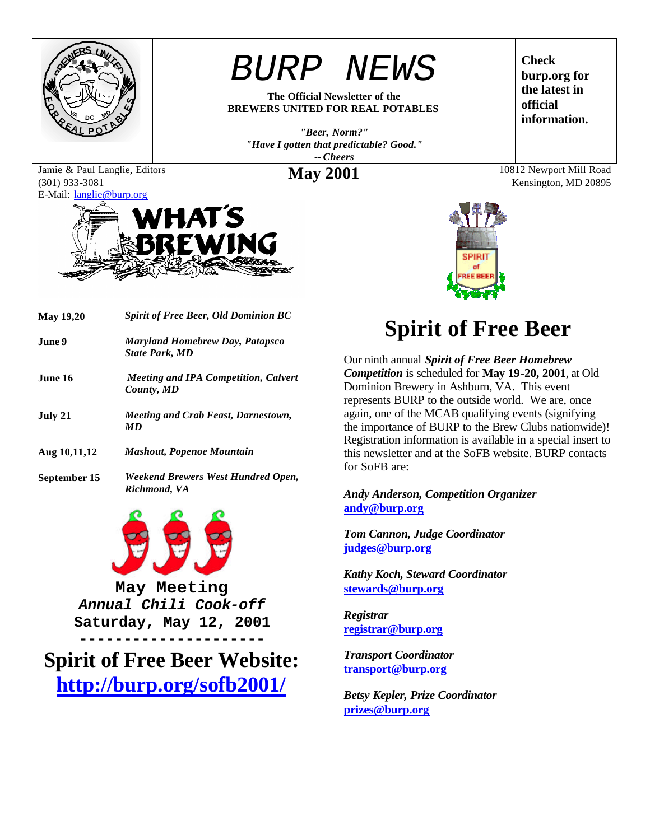

Jamie & Paul Langlie, Editors

(301) 933-3081

*BURP NEWS*

**The Official Newsletter of the BREWERS UNITED FOR REAL POTABLES**

*"Beer, Norm?" "Have I gotten that predictable? Good." -- Cheers*

E-Mail: langlie@burp.org



| <b>May 19,20</b> | <b>Spirit of Free Beer, Old Dominion BC</b>                     |  |
|------------------|-----------------------------------------------------------------|--|
| June 9.          | <b>Maryland Homebrew Day, Patapsco</b><br><b>State Park, MD</b> |  |
| June 16          | <b>Meeting and IPA Competition, Calvert</b><br>County, MD       |  |
| July 21          | <i>Meeting and Crab Feast, Darnestown,</i><br><b>MD</b>         |  |
| Aug 10, 11, 12   | <b>Mashout, Popenoe Mountain</b>                                |  |

**September 15** *Weekend Brewers West Hundred Open, Richmond, VA*



**May Meeting** *Annual Chili Cook-off* **Saturday, May 12, 2001**

**--------------------- Spirit of Free Beer Website: http://burp.org/sofb2001/**

# **Spirit of Free Beer**

Our ninth annual *Spirit of Free Beer Homebrew Competition* is scheduled for **May 19-20, 2001**, at Old Dominion Brewery in Ashburn, VA. This event represents BURP to the outside world. We are, once again, one of the MCAB qualifying events (signifying the importance of BURP to the Brew Clubs nationwide)! Registration information is available in a special insert to this newsletter and at the SoFB website. BURP contacts for SoFB are:

*Andy Anderson, Competition Organizer* **andy@burp.org**

*Tom Cannon, Judge Coordinator* **judges@burp.org**

*Kathy Koch, Steward Coordinator* **stewards@burp.org**

*Registrar* **registrar@burp.org**

*Transport Coordinator* **transport@burp.org**

*Betsy Kepler, Prize Coordinator* **prizes@burp.org**

**Check burp.org for the latest in official information.**

**May 2001** 10812 Newport Mill Road Kensington, MD 20895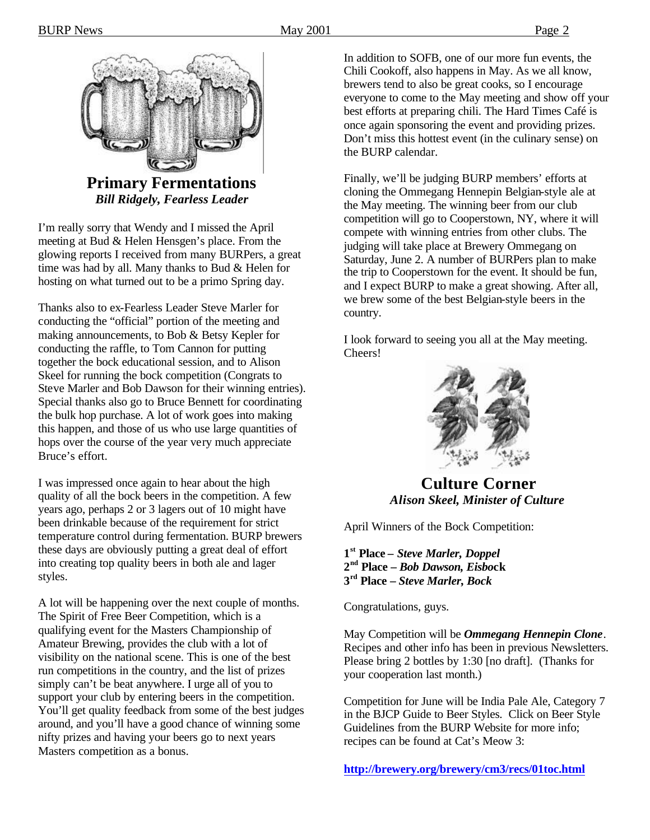

**Primary Fermentations** *Bill Ridgely, Fearless Leader*

I'm really sorry that Wendy and I missed the April meeting at Bud & Helen Hensgen's place. From the glowing reports I received from many BURPers, a great time was had by all. Many thanks to Bud & Helen for hosting on what turned out to be a primo Spring day.

Thanks also to ex-Fearless Leader Steve Marler for conducting the "official" portion of the meeting and making announcements, to Bob & Betsy Kepler for conducting the raffle, to Tom Cannon for putting together the bock educational session, and to Alison Skeel for running the bock competition (Congrats to Steve Marler and Bob Dawson for their winning entries). Special thanks also go to Bruce Bennett for coordinating the bulk hop purchase. A lot of work goes into making this happen, and those of us who use large quantities of hops over the course of the year very much appreciate Bruce's effort.

I was impressed once again to hear about the high quality of all the bock beers in the competition. A few years ago, perhaps 2 or 3 lagers out of 10 might have been drinkable because of the requirement for strict temperature control during fermentation. BURP brewers these days are obviously putting a great deal of effort into creating top quality beers in both ale and lager styles.

A lot will be happening over the next couple of months. The Spirit of Free Beer Competition, which is a qualifying event for the Masters Championship of Amateur Brewing, provides the club with a lot of visibility on the national scene. This is one of the best run competitions in the country, and the list of prizes simply can't be beat anywhere. I urge all of you to support your club by entering beers in the competition. You'll get quality feedback from some of the best judges around, and you'll have a good chance of winning some nifty prizes and having your beers go to next years Masters competition as a bonus.

In addition to SOFB, one of our more fun events, the Chili Cookoff, also happens in May. As we all know, brewers tend to also be great cooks, so I encourage everyone to come to the May meeting and show off your best efforts at preparing chili. The Hard Times Café is once again sponsoring the event and providing prizes. Don't miss this hottest event (in the culinary sense) on the BURP calendar.

Finally, we'll be judging BURP members' efforts at cloning the Ommegang Hennepin Belgian-style ale at the May meeting. The winning beer from our club competition will go to Cooperstown, NY, where it will compete with winning entries from other clubs. The judging will take place at Brewery Ommegang on Saturday, June 2. A number of BURPers plan to make the trip to Cooperstown for the event. It should be fun, and I expect BURP to make a great showing. After all, we brew some of the best Belgian-style beers in the country.

I look forward to seeing you all at the May meeting. Cheers!



**Culture Corner** *Alison Skeel, Minister of Culture*

April Winners of the Bock Competition:

**1 st Place –** *Steve Marler, Doppel* **2 nd Place –** *Bob Dawson, Eisbo***ck 3 rd Place –** *Steve Marler, Bock*

Congratulations, guys.

May Competition will be *Ommegang Hennepin Clone*. Recipes and other info has been in previous Newsletters. Please bring 2 bottles by 1:30 [no draft]. (Thanks for your cooperation last month.)

Competition for June will be India Pale Ale, Category 7 in the BJCP Guide to Beer Styles. Click on Beer Style Guidelines from the BURP Website for more info; recipes can be found at Cat's Meow 3:

**http://brewery.org/brewery/cm3/recs/01toc.html**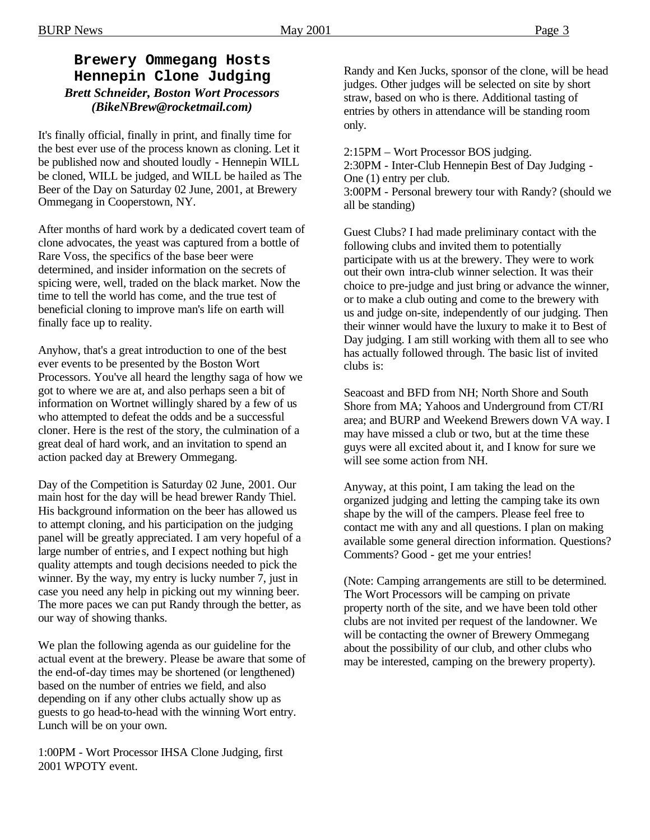#### **Brewery Ommegang Hosts Hennepin Clone Judging** *Brett Schneider, Boston Wort Processors (BikeNBrew@rocketmail.com)*

It's finally official, finally in print, and finally time for the best ever use of the process known as cloning. Let it be published now and shouted loudly - Hennepin WILL be cloned, WILL be judged, and WILL be hailed as The Beer of the Day on Saturday 02 June, 2001, at Brewery Ommegang in Cooperstown, NY.

After months of hard work by a dedicated covert team of clone advocates, the yeast was captured from a bottle of Rare Voss, the specifics of the base beer were determined, and insider information on the secrets of spicing were, well, traded on the black market. Now the time to tell the world has come, and the true test of beneficial cloning to improve man's life on earth will finally face up to reality.

Anyhow, that's a great introduction to one of the best ever events to be presented by the Boston Wort Processors. You've all heard the lengthy saga of how we got to where we are at, and also perhaps seen a bit of information on Wortnet willingly shared by a few of us who attempted to defeat the odds and be a successful cloner. Here is the rest of the story, the culmination of a great deal of hard work, and an invitation to spend an action packed day at Brewery Ommegang.

Day of the Competition is Saturday 02 June, 2001. Our main host for the day will be head brewer Randy Thiel. His background information on the beer has allowed us to attempt cloning, and his participation on the judging panel will be greatly appreciated. I am very hopeful of a large number of entries, and I expect nothing but high quality attempts and tough decisions needed to pick the winner. By the way, my entry is lucky number 7, just in case you need any help in picking out my winning beer. The more paces we can put Randy through the better, as our way of showing thanks.

We plan the following agenda as our guideline for the actual event at the brewery. Please be aware that some of the end-of-day times may be shortened (or lengthened) based on the number of entries we field, and also depending on if any other clubs actually show up as guests to go head-to-head with the winning Wort entry. Lunch will be on your own.

1:00PM - Wort Processor IHSA Clone Judging, first 2001 WPOTY event.

Randy and Ken Jucks, sponsor of the clone, will be head judges. Other judges will be selected on site by short straw, based on who is there. Additional tasting of entries by others in attendance will be standing room only.

2:15PM – Wort Processor BOS judging. 2:30PM - Inter-Club Hennepin Best of Day Judging - One (1) entry per club. 3:00PM - Personal brewery tour with Randy? (should we all be standing)

Guest Clubs? I had made preliminary contact with the following clubs and invited them to potentially participate with us at the brewery. They were to work out their own intra-club winner selection. It was their choice to pre-judge and just bring or advance the winner, or to make a club outing and come to the brewery with us and judge on-site, independently of our judging. Then their winner would have the luxury to make it to Best of Day judging. I am still working with them all to see who has actually followed through. The basic list of invited clubs is:

Seacoast and BFD from NH; North Shore and South Shore from MA; Yahoos and Underground from CT/RI area; and BURP and Weekend Brewers down VA way. I may have missed a club or two, but at the time these guys were all excited about it, and I know for sure we will see some action from NH.

Anyway, at this point, I am taking the lead on the organized judging and letting the camping take its own shape by the will of the campers. Please feel free to contact me with any and all questions. I plan on making available some general direction information. Questions? Comments? Good - get me your entries!

(Note: Camping arrangements are still to be determined. The Wort Processors will be camping on private property north of the site, and we have been told other clubs are not invited per request of the landowner. We will be contacting the owner of Brewery Ommegang about the possibility of our club, and other clubs who may be interested, camping on the brewery property).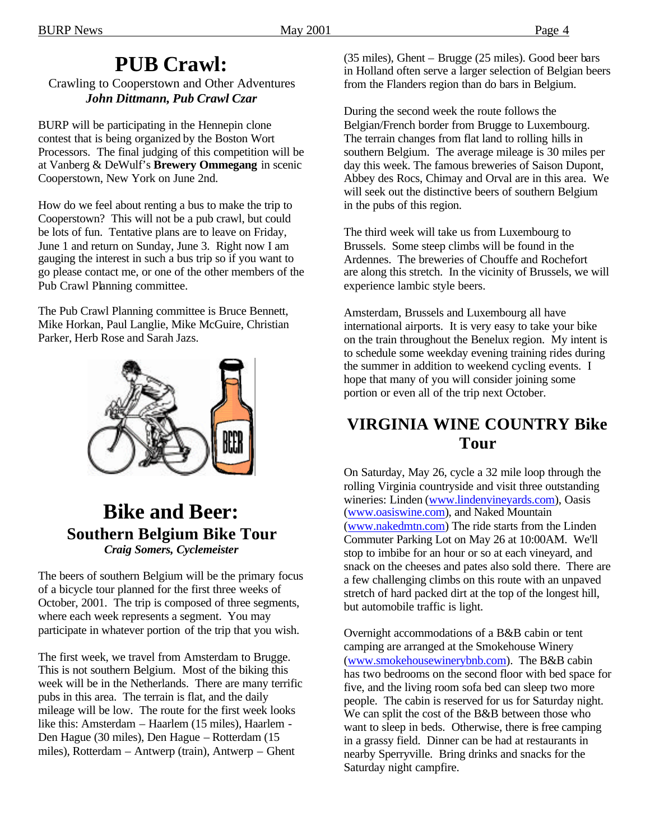## **PUB Crawl:**

Crawling to Cooperstown and Other Adventures *John Dittmann, Pub Crawl Czar*

BURP will be participating in the Hennepin clone contest that is being organized by the Boston Wort Processors. The final judging of this competition will be at Vanberg & DeWulf's **Brewery Ommegang** in scenic Cooperstown, New York on June 2nd.

How do we feel about renting a bus to make the trip to Cooperstown? This will not be a pub crawl, but could be lots of fun. Tentative plans are to leave on Friday, June 1 and return on Sunday, June 3. Right now I am gauging the interest in such a bus trip so if you want to go please contact me, or one of the other members of the Pub Crawl Planning committee.

The Pub Crawl Planning committee is Bruce Bennett, Mike Horkan, Paul Langlie, Mike McGuire, Christian Parker, Herb Rose and Sarah Jazs.



### **Bike and Beer: Southern Belgium Bike Tour** *Craig Somers, Cyclemeister*

The beers of southern Belgium will be the primary focus of a bicycle tour planned for the first three weeks of October, 2001. The trip is composed of three segments, where each week represents a segment. You may participate in whatever portion of the trip that you wish.

The first week, we travel from Amsterdam to Brugge. This is not southern Belgium. Most of the biking this week will be in the Netherlands. There are many terrific pubs in this area. The terrain is flat, and the daily mileage will be low. The route for the first week looks like this: Amsterdam – Haarlem (15 miles), Haarlem - Den Hague (30 miles), Den Hague – Rotterdam (15 miles), Rotterdam – Antwerp (train), Antwerp – Ghent

(35 miles), Ghent – Brugge (25 miles). Good beer bars in Holland often serve a larger selection of Belgian beers from the Flanders region than do bars in Belgium.

During the second week the route follows the Belgian/French border from Brugge to Luxembourg. The terrain changes from flat land to rolling hills in southern Belgium. The average mileage is 30 miles per day this week. The famous breweries of Saison Dupont, Abbey des Rocs, Chimay and Orval are in this area. We will seek out the distinctive beers of southern Belgium in the pubs of this region.

The third week will take us from Luxembourg to Brussels. Some steep climbs will be found in the Ardennes. The breweries of Chouffe and Rochefort are along this stretch. In the vicinity of Brussels, we will experience lambic style beers.

Amsterdam, Brussels and Luxembourg all have international airports. It is very easy to take your bike on the train throughout the Benelux region. My intent is to schedule some weekday evening training rides during the summer in addition to weekend cycling events. I hope that many of you will consider joining some portion or even all of the trip next October.

### **VIRGINIA WINE COUNTRY Bike Tour**

On Saturday, May 26, cycle a 32 mile loop through the rolling Virginia countryside and visit three outstanding wineries: Linden (www.lindenvineyards.com), Oasis (www.oasiswine.com), and Naked Mountain (www.nakedmtn.com) The ride starts from the Linden Commuter Parking Lot on May 26 at 10:00AM. We'll stop to imbibe for an hour or so at each vineyard, and snack on the cheeses and pates also sold there. There are a few challenging climbs on this route with an unpaved stretch of hard packed dirt at the top of the longest hill, but automobile traffic is light.

Overnight accommodations of a B&B cabin or tent camping are arranged at the Smokehouse Winery (www.smokehousewinerybnb.com). The B&B cabin has two bedrooms on the second floor with bed space for five, and the living room sofa bed can sleep two more people. The cabin is reserved for us for Saturday night. We can split the cost of the B&B between those who want to sleep in beds. Otherwise, there is free camping in a grassy field. Dinner can be had at restaurants in nearby Sperryville. Bring drinks and snacks for the Saturday night campfire.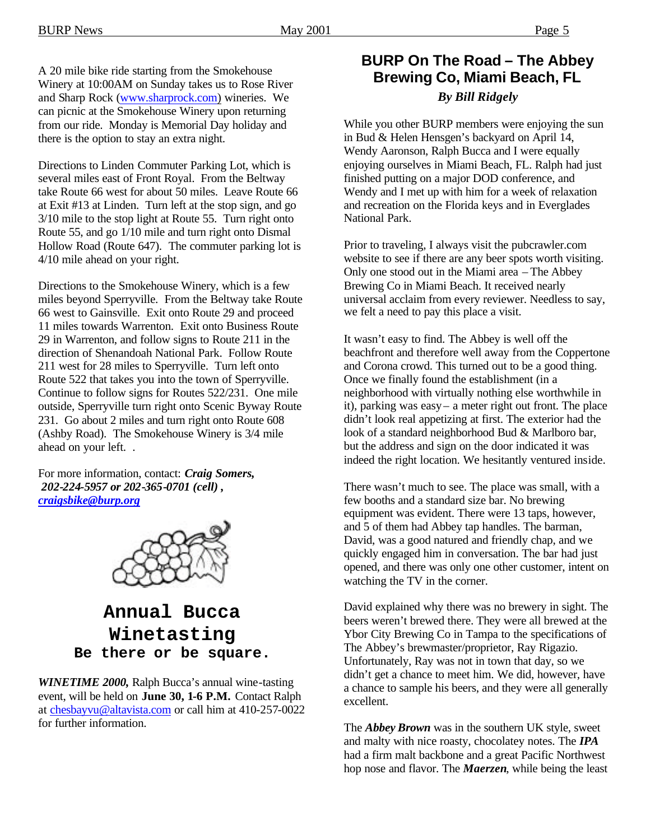A 20 mile bike ride starting from the Smokehouse Winery at 10:00AM on Sunday takes us to Rose River and Sharp Rock (www.sharprock.com) wineries. We can picnic at the Smokehouse Winery upon returning from our ride. Monday is Memorial Day holiday and there is the option to stay an extra night.

Directions to Linden Commuter Parking Lot, which is several miles east of Front Royal. From the Beltway take Route 66 west for about 50 miles. Leave Route 66 at Exit #13 at Linden. Turn left at the stop sign, and go 3/10 mile to the stop light at Route 55. Turn right onto Route 55, and go 1/10 mile and turn right onto Dismal Hollow Road (Route 647). The commuter parking lot is 4/10 mile ahead on your right.

Directions to the Smokehouse Winery, which is a few miles beyond Sperryville. From the Beltway take Route 66 west to Gainsville. Exit onto Route 29 and proceed 11 miles towards Warrenton. Exit onto Business Route 29 in Warrenton, and follow signs to Route 211 in the direction of Shenandoah National Park. Follow Route 211 west for 28 miles to Sperryville. Turn left onto Route 522 that takes you into the town of Sperryville. Continue to follow signs for Routes 522/231. One mile outside, Sperryville turn right onto Scenic Byway Route 231. Go about 2 miles and turn right onto Route 608 (Ashby Road). The Smokehouse Winery is 3/4 mile ahead on your left. .

For more information, contact: *Craig Somers, 202-224-5957 or 202-365-0701 (cell) , craigsbike@burp.org*



### **Annual Bucca Winetasting Be there or be square.**

*WINETIME 2000,* Ralph Bucca's annual wine-tasting event, will be held on **June 30, 1-6 P.M.** Contact Ralph at chesbayvu@altavista.com or call him at 410-257-0022 for further information.

### **BURP On The Road – The Abbey Brewing Co, Miami Beach, FL** *By Bill Ridgely*

While you other BURP members were enjoying the sun in Bud & Helen Hensgen's backyard on April 14, Wendy Aaronson, Ralph Bucca and I were equally enjoying ourselves in Miami Beach, FL. Ralph had just finished putting on a major DOD conference, and Wendy and I met up with him for a week of relaxation and recreation on the Florida keys and in Everglades National Park.

Prior to traveling, I always visit the pubcrawler.com website to see if there are any beer spots worth visiting. Only one stood out in the Miami area – The Abbey Brewing Co in Miami Beach. It received nearly universal acclaim from every reviewer. Needless to say, we felt a need to pay this place a visit.

It wasn't easy to find. The Abbey is well off the beachfront and therefore well away from the Coppertone and Corona crowd. This turned out to be a good thing. Once we finally found the establishment (in a neighborhood with virtually nothing else worthwhile in it), parking was easy – a meter right out front. The place didn't look real appetizing at first. The exterior had the look of a standard neighborhood Bud & Marlboro bar, but the address and sign on the door indicated it was indeed the right location. We hesitantly ventured inside.

There wasn't much to see. The place was small, with a few booths and a standard size bar. No brewing equipment was evident. There were 13 taps, however, and 5 of them had Abbey tap handles. The barman, David, was a good natured and friendly chap, and we quickly engaged him in conversation. The bar had just opened, and there was only one other customer, intent on watching the TV in the corner.

David explained why there was no brewery in sight. The beers weren't brewed there. They were all brewed at the Ybor City Brewing Co in Tampa to the specifications of The Abbey's brewmaster/proprietor, Ray Rigazio. Unfortunately, Ray was not in town that day, so we didn't get a chance to meet him. We did, however, have a chance to sample his beers, and they were all generally excellent.

The *Abbey Brown* was in the southern UK style, sweet and malty with nice roasty, chocolatey notes. The *IPA*  had a firm malt backbone and a great Pacific Northwest hop nose and flavor. The *Maerzen*, while being the least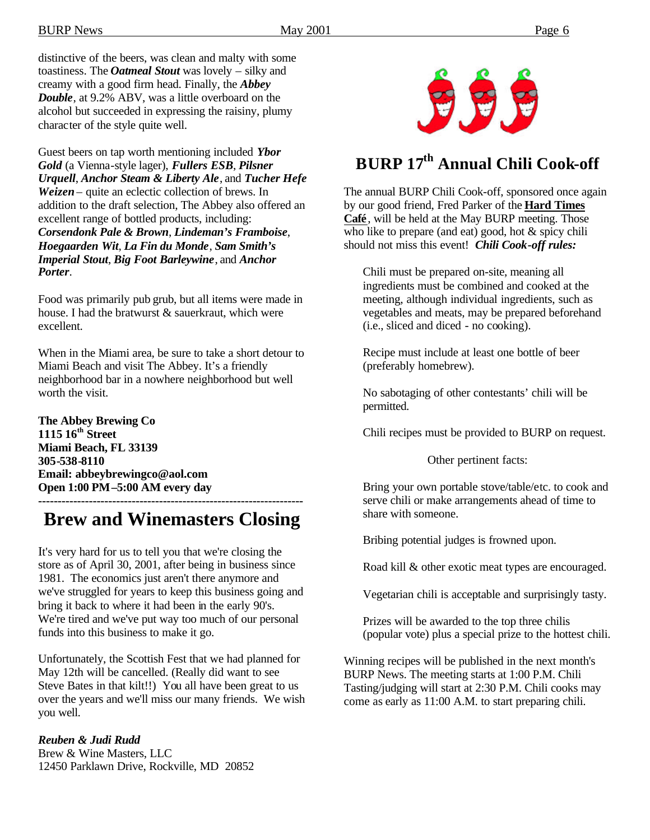distinctive of the beers, was clean and malty with some toastiness. The *Oatmeal Stout* was lovely – silky and creamy with a good firm head. Finally, the *Abbey Double*, at 9.2% ABV, was a little overboard on the alcohol but succeeded in expressing the raisiny, plumy character of the style quite well.

Guest beers on tap worth mentioning included *Ybor Gold* (a Vienna-style lager), *Fullers ESB*, *Pilsner Urquell*, *Anchor Steam & Liberty Ale*, and *Tucher Hefe Weizen* – quite an eclectic collection of brews. In addition to the draft selection, The Abbey also offered an excellent range of bottled products, including: *Corsendonk Pale & Brown*, *Lindeman's Framboise*, *Hoegaarden Wit*, *La Fin du Monde*, *Sam Smith's Imperial Stout*, *Big Foot Barleywine*, and *Anchor Porter*.

Food was primarily pub grub, but all items were made in house. I had the bratwurst & sauerkraut, which were excellent.

When in the Miami area, be sure to take a short detour to Miami Beach and visit The Abbey. It's a friendly neighborhood bar in a nowhere neighborhood but well worth the visit.

**The Abbey Brewing Co 1115 16th Street Miami Beach, FL 33139 305-538-8110 Email: abbeybrewingco@aol.com Open 1:00 PM–5:00 AM every day**

**--------------------------------------------------------------------**

## **Brew and Winemasters Closing**

It's very hard for us to tell you that we're closing the store as of April 30, 2001, after being in business since 1981. The economics just aren't there anymore and we've struggled for years to keep this business going and bring it back to where it had been in the early 90's. We're tired and we've put way too much of our personal funds into this business to make it go.

Unfortunately, the Scottish Fest that we had planned for May 12th will be cancelled. (Really did want to see Steve Bates in that kilt!!) You all have been great to us over the years and we'll miss our many friends. We wish you well.

#### *Reuben & Judi Rudd*

Brew & Wine Masters, LLC 12450 Parklawn Drive, Rockville, MD 20852



## **BURP 17th Annual Chili Cook-off**

The annual BURP Chili Cook-off, sponsored once again by our good friend, Fred Parker of the **Hard Times Café**, will be held at the May BURP meeting. Those who like to prepare (and eat) good, hot & spicy chili should not miss this event! *Chili Cook-off rules:*

Chili must be prepared on-site, meaning all ingredients must be combined and cooked at the meeting, although individual ingredients, such as vegetables and meats, may be prepared beforehand (i.e., sliced and diced - no cooking).

Recipe must include at least one bottle of beer (preferably homebrew).

No sabotaging of other contestants' chili will be permitted.

Chili recipes must be provided to BURP on request.

Other pertinent facts:

Bring your own portable stove/table/etc. to cook and serve chili or make arrangements ahead of time to share with someone.

Bribing potential judges is frowned upon.

Road kill & other exotic meat types are encouraged.

Vegetarian chili is acceptable and surprisingly tasty.

Prizes will be awarded to the top three chilis (popular vote) plus a special prize to the hottest chili.

Winning recipes will be published in the next month's BURP News. The meeting starts at 1:00 P.M. Chili Tasting/judging will start at 2:30 P.M. Chili cooks may come as early as 11:00 A.M. to start preparing chili.